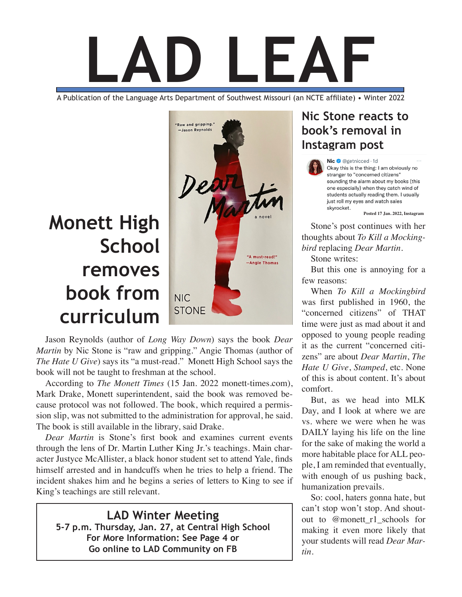

A Publication of the Language Arts Department of Southwest Missouri (an NCTE affiliate) • Winter 2022

# **Monett High School removes book from curriculum**



Jason Reynolds (author of *Long Way Down*) says the book *Dear Martin* by Nic Stone is "raw and gripping." Angie Thomas (author of *The Hate U Give*) says its "a must-read." Monett High School says the book will not be taught to freshman at the school.

According to *The Monett Times* (15 Jan. 2022 monett-times.com), Mark Drake, Monett superintendent, said the book was removed because protocol was not followed. The book, which required a permission slip, was not submitted to the administration for approval, he said. The book is still available in the library, said Drake.

*Dear Martin* is Stone's first book and examines current events through the lens of Dr. Martin Luther King Jr.'s teachings. Main character Justyce McAllister, a black honor student set to attend Yale, finds himself arrested and in handcuffs when he tries to help a friend. The incident shakes him and he begins a series of letters to King to see if King's teachings are still relevant.

**LAD Winter Meeting 5-7 p.m. Thursday, Jan. 27, at Central High School For More Information: See Page 4 or Go online to LAD Community on FB**

### **Nic Stone reacts to book's removal in Instagram post**

Nic @ @getnicced · 1d Okay this is the thing: I am obviously no stranger to "concerned citizens" sounding the alarm about my books (this one especially) when they catch wind of students actually reading them. I usually just roll my eyes and watch sales skvrocket.

**Posted 17 Jan. 2022, Instagram**

Stone's post continues with her thoughts about *To Kill a Mockingbird* replacing *Dear Martin*.

Stone writes:

But this one is annoying for a few reasons:

When *To Kill a Mockingbird* was first published in 1960, the "concerned citizens" of THAT time were just as mad about it and opposed to young people reading it as the current "concerned citizens" are about *Dear Martin*, *The Hate U Give*, *Stamped*, etc. None of this is about content. It's about comfort.

But, as we head into MLK Day, and I look at where we are vs. where we were when he was DAILY laying his life on the line for the sake of making the world a more habitable place for ALL people, I am reminded that eventually, with enough of us pushing back, humanization prevails.

So: cool, haters gonna hate, but can't stop won't stop. And shoutout to @monett\_r1\_schools for making it even more likely that your students will read *Dear Martin*.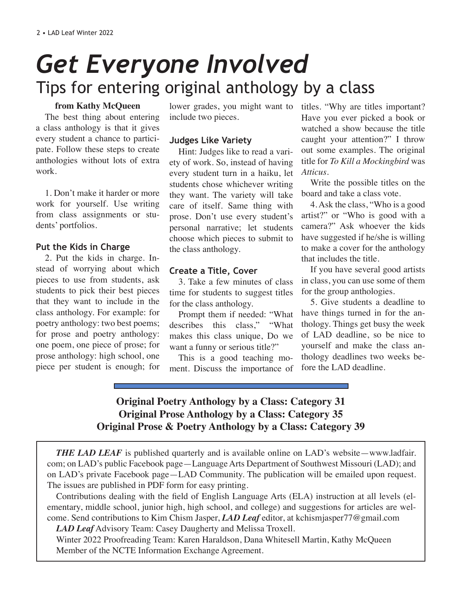# Tips for entering original anthology by a class *Get Everyone Involved*

#### **from Kathy McQueen**

The best thing about entering a class anthology is that it gives every student a chance to participate. Follow these steps to create anthologies without lots of extra work.

1. Don't make it harder or more work for yourself. Use writing from class assignments or students' portfolios.

### **Put the Kids in Charge**

2. Put the kids in charge. Instead of worrying about which pieces to use from students, ask students to pick their best pieces that they want to include in the class anthology. For example: for poetry anthology: two best poems; for prose and poetry anthology: one poem, one piece of prose; for prose anthology: high school, one piece per student is enough; for include two pieces.

### **Judges Like Variety**

Hint: Judges like to read a variety of work. So, instead of having every student turn in a haiku, let students chose whichever writing they want. The variety will take care of itself. Same thing with prose. Don't use every student's personal narrative; let students choose which pieces to submit to the class anthology.

### **Create a Title, Cover**

3. Take a few minutes of class time for students to suggest titles for the class anthology.

Prompt them if needed: "What describes this class," "What makes this class unique, Do we want a funny or serious title?"

This is a good teaching moment. Discuss the importance of

lower grades, you might want to titles. "Why are titles important? Have you ever picked a book or watched a show because the title caught your attention?" I throw out some examples. The original title for *To Kill a Mockingbird* was *Atticus*.

> Write the possible titles on the board and take a class vote.

> 4. Ask the class, "Who is a good artist?" or "Who is good with a camera?" Ask whoever the kids have suggested if he/she is willing to make a cover for the anthology that includes the title.

> If you have several good artists in class, you can use some of them for the group anthologies.

> 5. Give students a deadline to have things turned in for the anthology. Things get busy the week of LAD deadline, so be nice to yourself and make the class anthology deadlines two weeks before the LAD deadline.

### **Original Poetry Anthology by a Class: Category 31 Original Prose Anthology by a Class: Category 35 Original Prose & Poetry Anthology by a Class: Category 39**

*THE LAD LEAF* is published quarterly and is available online on LAD's website—www.ladfair. com; on LAD's public Facebook page—Language Arts Department of Southwest Missouri (LAD); and on LAD's private Facebook page—LAD Community. The publication will be emailed upon request. The issues are published in PDF form for easy printing.

Contributions dealing with the field of English Language Arts (ELA) instruction at all levels (elementary, middle school, junior high, high school, and college) and suggestions for articles are welcome. Send contributions to Kim Chism Jasper, *LAD Leaf* editor, at kchismjasper77@gmail.com

*LAD Leaf* Advisory Team: Casey Daugherty and Melissa Troxell.

Winter 2022 Proofreading Team: Karen Haraldson, Dana Whitesell Martin, Kathy McQueen Member of the NCTE Information Exchange Agreement.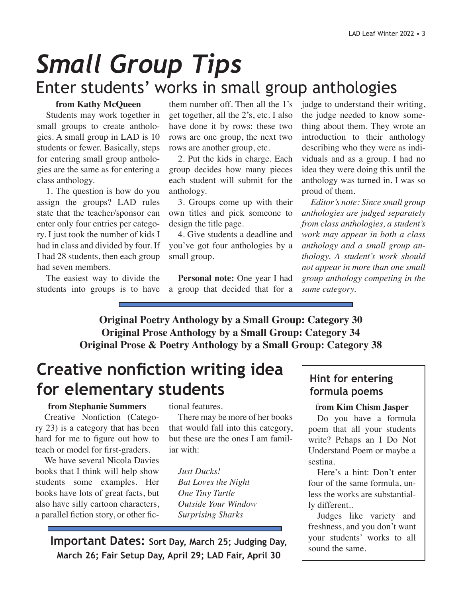# *Small Group Tips* Enter students' works in small group anthologies

### **from Kathy McQueen**

Students may work together in small groups to create anthologies. A small group in LAD is 10 students or fewer. Basically, steps for entering small group anthologies are the same as for entering a class anthology.

1. The question is how do you assign the groups? LAD rules state that the teacher/sponsor can enter only four entries per category. I just took the number of kids I had in class and divided by four. If I had 28 students, then each group had seven members.

The easiest way to divide the students into groups is to have

them number off. Then all the 1's get together, all the 2's, etc. I also have done it by rows: these two rows are one group, the next two rows are another group, etc.

2. Put the kids in charge. Each group decides how many pieces each student will submit for the anthology.

3. Groups come up with their own titles and pick someone to design the title page.

4. Give students a deadline and you've got four anthologies by a small group.

**Personal note:** One year I had a group that decided that for a

judge to understand their writing, the judge needed to know something about them. They wrote an introduction to their anthology describing who they were as individuals and as a group. I had no idea they were doing this until the anthology was turned in. I was so proud of them.

*Editor's note: Since small group anthologies are judged separately from class anthologies, a student's work may appear in both a class anthology and a small group anthology. A student's work should not appear in more than one small group anthology competing in the same category.*

**Original Poetry Anthology by a Small Group: Category 30 Original Prose Anthology by a Small Group: Category 34 Original Prose & Poetry Anthology by a Small Group: Category 38**

## **Creative nonfiction writing idea for elementary students**

#### **from Stephanie Summers**

Creative Nonfiction (Category 23) is a category that has been hard for me to figure out how to teach or model for first-graders.

We have several Nicola Davies books that I think will help show students some examples. Her books have lots of great facts, but also have silly cartoon characters, a parallel fiction story, or other fictional features.

There may be more of her books that would fall into this category, but these are the ones I am familiar with:

*Just Ducks! Bat Loves the Night One Tiny Turtle Outside Your Window Surprising Sharks*

**Important Dates: Sort Day, March 25; Judging Day, March 26; Fair Setup Day, April 29; LAD Fair, April 30**

### **Hint for entering formula poems**

#### f**rom Kim Chism Jasper**

Do you have a formula poem that all your students write? Pehaps an I Do Not Understand Poem or maybe a sestina.

Here's a hint: Don't enter four of the same formula, unless the works are substantially different..

Judges like variety and freshness, and you don't want your students' works to all sound the same.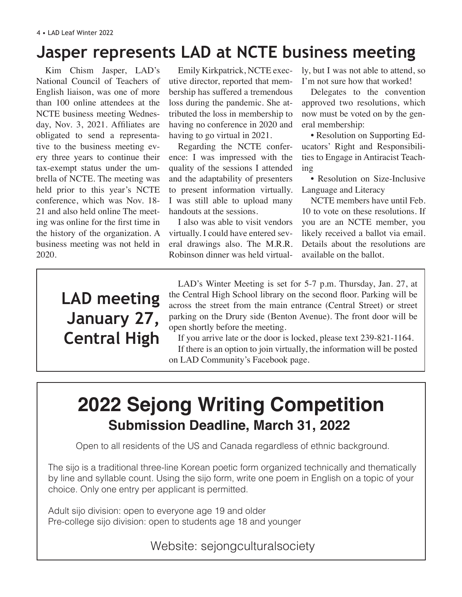## **Jasper represents LAD at NCTE business meeting**

Kim Chism Jasper, LAD's National Council of Teachers of English liaison, was one of more than 100 online attendees at the NCTE business meeting Wednesday, Nov. 3, 2021. Affiliates are obligated to send a representative to the business meeting every three years to continue their tax-exempt status under the umbrella of NCTE. The meeting was held prior to this year's NCTE conference, which was Nov. 18- 21 and also held online The meeting was online for the first time in the history of the organization. A business meeting was not held in 2020.

Emily Kirkpatrick, NCTE executive director, reported that membership has suffered a tremendous loss during the pandemic. She attributed the loss in membership to having no conference in 2020 and having to go virtual in 2021.

Regarding the NCTE conference: I was impressed with the quality of the sessions I attended and the adaptability of presenters to present information virtually. I was still able to upload many handouts at the sessions.

I also was able to visit vendors virtually. I could have entered several drawings also. The M.R.R. Robinson dinner was held virtually, but I was not able to attend, so I'm not sure how that worked!

Delegates to the convention approved two resolutions, which now must be voted on by the general membership:

• Resolution on Supporting Educators' Right and Responsibilities to Engage in Antiracist Teaching

• Resolution on Size-Inclusive Language and Literacy

NCTE members have until Feb. 10 to vote on these resolutions. If you are an NCTE member, you likely received a ballot via email. Details about the resolutions are available on the ballot.

## **LAD meeting January 27, Central High**

LAD's Winter Meeting is set for 5-7 p.m. Thursday, Jan. 27, at the Central High School library on the second floor. Parking will be across the street from the main entrance (Central Street) or street parking on the Drury side (Benton Avenue). The front door will be open shortly before the meeting.

If you arrive late or the door is locked, please text 239-821-1164. If there is an option to join virtually, the information will be posted on LAD Community's Facebook page.

## **2022 Sejong Writing Competition Submission Deadline, March 31, 2022**

Open to all residents of the US and Canada regardless of ethnic background.

The sijo is a traditional three-line Korean poetic form organized technically and thematically by line and syllable count. Using the sijo form, write one poem in English on a topic of your choice. Only one entry per applicant is permitted.

Adult sijo division: open to everyone age 19 and older Pre-college sijo division: open to students age 18 and younger

### Website: sejongculturalsociety